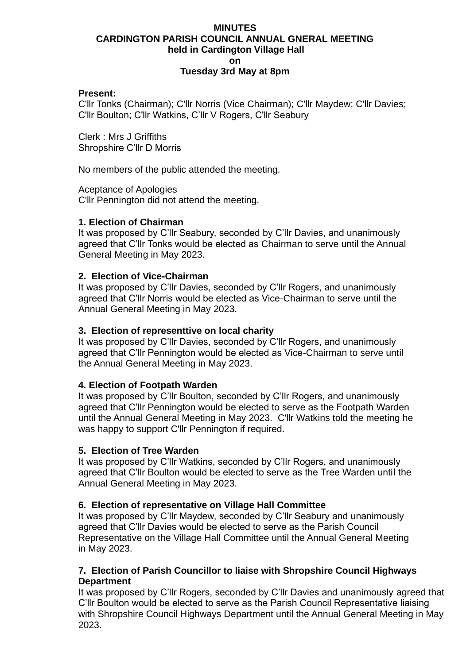# **MINUTES CARDINGTON PARISH COUNCIL ANNUAL GNERAL MEETING held in Cardington Village Hall on Tuesday 3rd May at 8pm**

#### **Present:**

C'llr Tonks (Chairman); C'llr Norris (Vice Chairman); C'llr Maydew; C'llr Davies; C'llr Boulton; C'llr Watkins, C'llr V Rogers, C'llr Seabury

Clerk : Mrs J Griffiths Shropshire C'llr D Morris

No members of the public attended the meeting.

Aceptance of Apologies C'llr Pennington did not attend the meeting.

### **1. Election of Chairman**

It was proposed by C'llr Seabury, seconded by C'llr Davies, and unanimously agreed that C'llr Tonks would be elected as Chairman to serve until the Annual General Meeting in May 2023.

#### **2. Election of Vice-Chairman**

It was proposed by C'llr Davies, seconded by C'llr Rogers, and unanimously agreed that C'llr Norris would be elected as Vice-Chairman to serve until the Annual General Meeting in May 2023.

#### **3. Election of representtive on local charity**

It was proposed by C'llr Davies, seconded by C'llr Rogers, and unanimously agreed that C'llr Pennington would be elected as Vice-Chairman to serve until the Annual General Meeting in May 2023.

#### **4. Election of Footpath Warden**

It was proposed by C'llr Boulton, seconded by C'llr Rogers, and unanimously agreed that C'llr Pennington would be elected to serve as the Footpath Warden until the Annual General Meeting in May 2023. C'llr Watkins told the meeting he was happy to support C'llr Pennington if required.

#### **5. Election of Tree Warden**

It was proposed by C'llr Watkins, seconded by C'llr Rogers, and unanimously agreed that C'llr Boulton would be elected to serve as the Tree Warden until the Annual General Meeting in May 2023.

### **6. Election of representative on Village Hall Committee**

It was proposed by C'llr Maydew, seconded by C'llr Seabury and unanimously agreed that C'llr Davies would be elected to serve as the Parish Council Representative on the Village Hall Committee until the Annual General Meeting in May 2023.

#### **7. Election of Parish Councillor to liaise with Shropshire Council Highways Department**

It was proposed by C'llr Rogers, seconded by C'llr Davies and unanimously agreed that C'llr Boulton would be elected to serve as the Parish Council Representative liaising with Shropshire Council Highways Department until the Annual General Meeting in May 2023.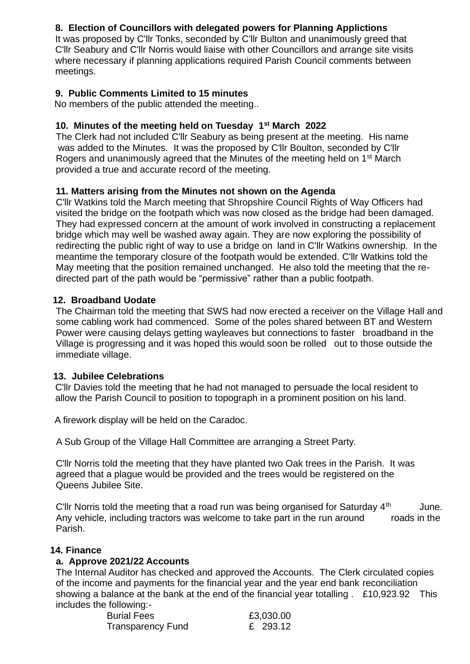# **8. Election of Councillors with delegated powers for Planning Applictions**

It was proposed by C'llr Tonks, seconded by C'llr Bulton and unanimously greed that C'llr Seabury and C'llr Norris would liaise with other Councillors and arrange site visits where necessary if planning applications required Parish Council comments between meetings.

# **9. Public Comments Limited to 15 minutes**

No members of the public attended the meeting..

# **10. Minutes of the meeting held on Tuesday 1st March 2022**

The Clerk had not included C'llr Seabury as being present at the meeting. His name was added to the Minutes. It was the proposed by C'llr Boulton, seconded by C'llr Rogers and unanimously agreed that the Minutes of the meeting held on 1st March provided a true and accurate record of the meeting.

# **11. Matters arising from the Minutes not shown on the Agenda**

C'llr Watkins told the March meeting that Shropshire Council Rights of Way Officers had visited the bridge on the footpath which was now closed as the bridge had been damaged. They had expressed concern at the amount of work involved in constructing a replacement bridge which may well be washed away again. They are now exploring the possibility of redirecting the public right of way to use a bridge on land in C'llr Watkins ownership. In the meantime the temporary closure of the footpath would be extended. C'llr Watkins told the May meeting that the position remained unchanged. He also told the meeting that the redirected part of the path would be "permissive" rather than a public footpath.

# **12. Broadband Uodate**

The Chairman told the meeting that SWS had now erected a receiver on the Village Hall and some cabling work had commenced. Some of the poles shared between BT and Western Power were causing delays getting wayleaves but connections to faster broadband in the Village is progressing and it was hoped this would soon be rolled out to those outside the immediate village.

# **13. Jubilee Celebrations**

C'llr Davies told the meeting that he had not managed to persuade the local resident to allow the Parish Council to position to topograph in a prominent position on his land.

A firework display will be held on the Caradoc.

A Sub Group of the Village Hall Committee are arranging a Street Party.

C'llr Norris told the meeting that they have planted two Oak trees in the Parish. It was agreed that a plague would be provided and the trees would be registered on the Queens Jubilee Site.

C'llr Norris told the meeting that a road run was being organised for Saturday  $4<sup>th</sup>$  June. Any vehicle, including tractors was welcome to take part in the run around roads in the Parish.

# **14. Finance**

# **a. Approve 2021/22 Accounts**

The Internal Auditor has checked and approved the Accounts. The Clerk circulated copies of the income and payments for the financial year and the year end bank reconciliation showing a balance at the bank at the end of the financial year totalling . £10,923.92 This includes the following:-

| <b>Burial Fees</b>       | £3,030.00 |
|--------------------------|-----------|
| <b>Transparency Fund</b> | £ 293.12  |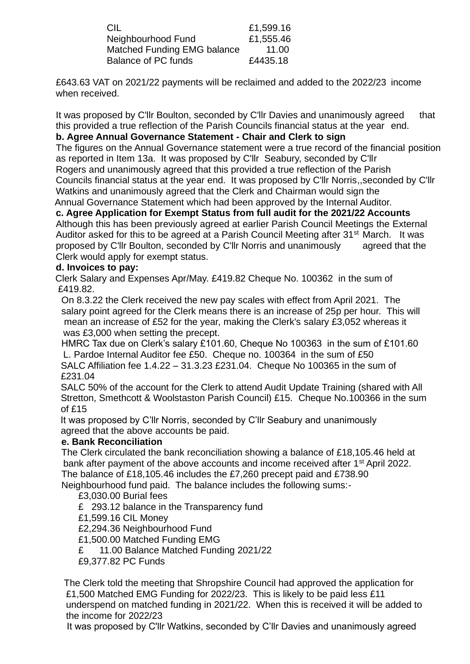| CIL                         | £1,599.16 |
|-----------------------------|-----------|
| Neighbourhood Fund          | £1,555.46 |
| Matched Funding EMG balance | 11.00     |
| <b>Balance of PC funds</b>  | £4435.18  |

£643.63 VAT on 2021/22 payments will be reclaimed and added to the 2022/23 income when received.

It was proposed by C'llr Boulton, seconded by C'llr Davies and unanimously agreed that this provided a true reflection of the Parish Councils financial status at the year end.

# **b. Agree Annual Governance Statement - Chair and Clerk to sign**

The figures on the Annual Governance statement were a true record of the financial position as reported in Item 13a. It was proposed by C'llr Seabury, seconded by C'llr Rogers and unanimously agreed that this provided a true reflection of the Parish Councils financial status at the year end. It was proposed by C'llr Norris,,seconded by C'llr Watkins and unanimously agreed that the Clerk and Chairman would sign the Annual Governance Statement which had been approved by the Internal Auditor.

# **c. Agree Application for Exempt Status from full audit for the 2021/22 Accounts**

Although this has been previously agreed at earlier Parish Council Meetings the External Auditor asked for this to be agreed at a Parish Council Meeting after 31<sup>st</sup> March. It was proposed by C'llr Boulton, seconded by C'llr Norris and unanimously agreed that the Clerk would apply for exempt status.

# **d. Invoices to pay:**

 Clerk Salary and Expenses Apr/May. £419.82 Cheque No. 100362 in the sum of £419.82.

On 8.3.22 the Clerk received the new pay scales with effect from April 2021. The salary point agreed for the Clerk means there is an increase of 25p per hour. This will mean an increase of £52 for the year, making the Clerk's salary £3,052 whereas it was £3,000 when setting the precept.

HMRC Tax due on Clerk's salary £101.60, Cheque No 100363 in the sum of £101.60 L. Pardoe Internal Auditor fee £50. Cheque no. 100364 in the sum of £50 SALC Affiliation fee 1.4.22 – 31.3.23 £231.04. Cheque No 100365 in the sum of £231.04

 SALC 50% of the account for the Clerk to attend Audit Update Training (shared with All Stretton, Smethcott & Woolstaston Parish Council) £15. Cheque No.100366 in the sum of £15

 It was proposed by C'llr Norris, seconded by C'llr Seabury and unanimously agreed that the above accounts be paid.

### **e. Bank Reconciliation**

The Clerk circulated the bank reconciliation showing a balance of £18,105.46 held at bank after payment of the above accounts and income received after 1<sup>st</sup> April 2022. The balance of £18,105.46 includes the £7,260 precept paid and £738.90 Neighbourhood fund paid. The balance includes the following sums:-

£3,030.00 Burial fees

£ 293.12 balance in the Transparency fund

£1,599.16 CIL Money

£2,294.36 Neighbourhood Fund

£1,500.00 Matched Funding EMG

£ 11.00 Balance Matched Funding 2021/22

£9,377.82 PC Funds

The Clerk told the meeting that Shropshire Council had approved the application for £1,500 Matched EMG Funding for 2022/23. This is likely to be paid less £11 underspend on matched funding in 2021/22. When this is received it will be added to the income for 2022/23

It was proposed by C'llr Watkins, seconded by C'llr Davies and unanimously agreed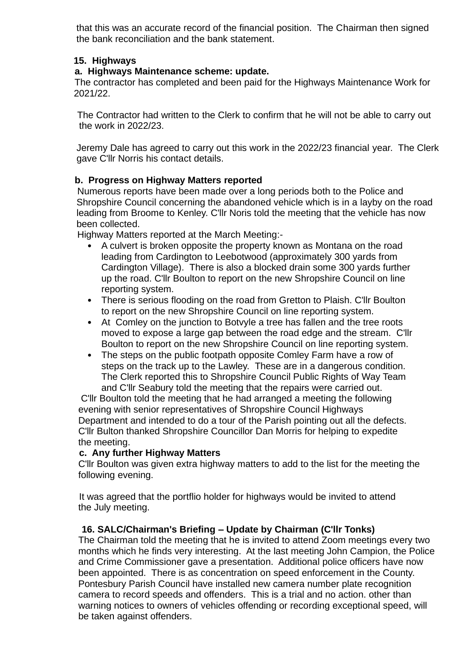that this was an accurate record of the financial position. The Chairman then signed the bank reconciliation and the bank statement.

## **15. Highways**

# **a. Highways Maintenance scheme: update.**

 The contractor has completed and been paid for the Highways Maintenance Work for 2021/22.

 The Contractor had written to the Clerk to confirm that he will not be able to carry out the work in 2022/23.

 Jeremy Dale has agreed to carry out this work in the 2022/23 financial year. The Clerk gave C'llr Norris his contact details.

# **b. Progress on Highway Matters reported**

Numerous reports have been made over a long periods both to the Police and Shropshire Council concerning the abandoned vehicle which is in a layby on the road leading from Broome to Kenley. C'llr Noris told the meeting that the vehicle has now been collected.

Highway Matters reported at the March Meeting:-

- A culvert is broken opposite the property known as Montana on the road leading from Cardington to Leebotwood (approximately 300 yards from Cardington Village). There is also a blocked drain some 300 yards further up the road. C'llr Boulton to report on the new Shropshire Council on line reporting system.
- There is serious flooding on the road from Gretton to Plaish. C'llr Boulton to report on the new Shropshire Council on line reporting system.
- At Comley on the junction to Botvyle a tree has fallen and the tree roots moved to expose a large gap between the road edge and the stream. C'llr Boulton to report on the new Shropshire Council on line reporting system.
- The steps on the public footpath opposite Comley Farm have a row of steps on the track up to the Lawley. These are in a dangerous condition. The Clerk reported this to Shropshire Council Public Rights of Way Team and C'llr Seabury told the meeting that the repairs were carried out.

C'llr Boulton told the meeting that he had arranged a meeting the following evening with senior representatives of Shropshire Council Highways Department and intended to do a tour of the Parish pointing out all the defects. C'llr Bulton thanked Shropshire Councillor Dan Morris for helping to expedite the meeting.

### **c. Any further Highway Matters**

C'llr Boulton was given extra highway matters to add to the list for the meeting the following evening.

It was agreed that the portflio holder for highways would be invited to attend the July meeting.

### **16. SALC/Chairman's Briefing – Update by Chairman (C'llr Tonks)**

The Chairman told the meeting that he is invited to attend Zoom meetings every two months which he finds very interesting. At the last meeting John Campion, the Police and Crime Commissioner gave a presentation. Additional police officers have now been appointed. There is as concentration on speed enforcement in the County. Pontesbury Parish Council have installed new camera number plate recognition camera to record speeds and offenders. This is a trial and no action. other than warning notices to owners of vehicles offending or recording exceptional speed, will be taken against offenders.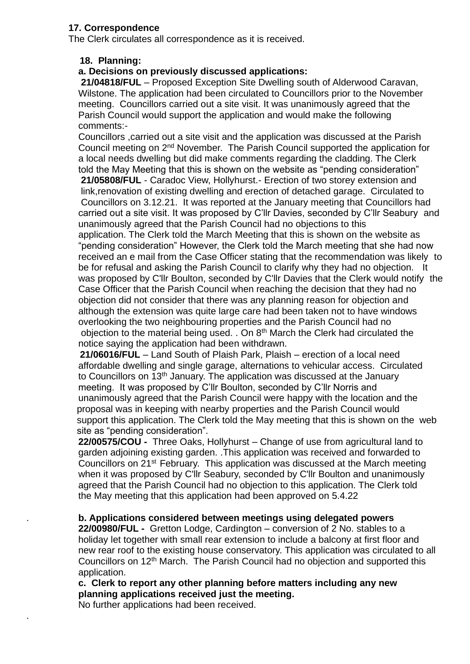# **17. Correspondence**

The Clerk circulates all correspondence as it is received.

# **18. Planning:**

# **a. Decisions on previously discussed applications:**

**21/04818/FUL** – Proposed Exception Site Dwelling south of Alderwood Caravan, Wilstone. The application had been circulated to Councillors prior to the November meeting. Councillors carried out a site visit. It was unanimously agreed that the Parish Council would support the application and would make the following comments:-

Councillors ,carried out a site visit and the application was discussed at the Parish Council meeting on 2nd November. The Parish Council supported the application for a local needs dwelling but did make comments regarding the cladding. The Clerk told the May Meeting that this is shown on the website as "pending consideration" **21/05808/FUL** - Caradoc View, Hollyhurst.- Erection of two storey extension and link,renovation of existing dwelling and erection of detached garage. Circulated to Councillors on 3.12.21. It was reported at the January meeting that Councillors had carried out a site visit. It was proposed by C'llr Davies, seconded by C'llr Seabury and unanimously agreed that the Parish Council had no objections to this application. The Clerk told the March Meeting that this is shown on the website as "pending consideration" However, the Clerk told the March meeting that she had now received an e mail from the Case Officer stating that the recommendation was likely to be for refusal and asking the Parish Council to clarify why they had no objection. It was proposed by C'llr Boulton, seconded by C'llr Davies that the Clerk would notify the Case Officer that the Parish Council when reaching the decision that they had no objection did not consider that there was any planning reason for objection and although the extension was quite large care had been taken not to have windows overlooking the two neighbouring properties and the Parish Council had no objection to the material being used. . On 8<sup>th</sup> March the Clerk had circulated the notice saying the application had been withdrawn.

 **21/06016/FUL** – Land South of Plaish Park, Plaish – erection of a local need affordable dwelling and single garage, alternations to vehicular access. Circulated to Councillors on 13<sup>th</sup> January. The application was discussed at the January meeting. It was proposed by C'llr Boulton, seconded by C'llr Norris and unanimously agreed that the Parish Council were happy with the location and the proposal was in keeping with nearby properties and the Parish Council would support this application. The Clerk told the May meeting that this is shown on the web site as "pending consideration".

 **22/00575/COU -** Three Oaks, Hollyhurst – Change of use from agricultural land to garden adjoining existing garden. .This application was received and forwarded to Councillors on 21st February. This application was discussed at the March meeting when it was proposed by C'llr Seabury, seconded by C'llr Boulton and unanimously agreed that the Parish Council had no objection to this application. The Clerk told the May meeting that this application had been approved on 5.4.22

### . **b. Applications considered between meetings using delegated powers**

**22/00980/FUL -** Gretton Lodge, Cardington – conversion of 2 No. stables to a holiday let together with small rear extension to include a balcony at first floor and new rear roof to the existing house conservatory. This application was circulated to all Councillors on 12th March. The Parish Council had no objection and supported this application.

 **c. Clerk to report any other planning before matters including any new planning applications received just the meeting.** 

No further applications had been received.

.